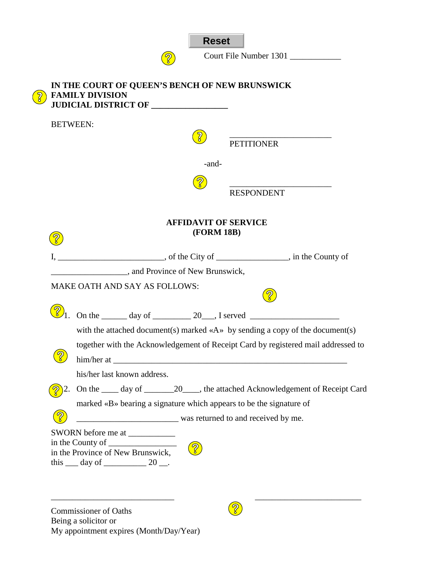

3

Court File Number 1301

|                | <b>BETWEEN:</b>                                                                               |
|----------------|-----------------------------------------------------------------------------------------------|
|                | <b>PETITIONER</b>                                                                             |
|                | -and-                                                                                         |
|                |                                                                                               |
|                | <b>RESPONDENT</b>                                                                             |
|                |                                                                                               |
|                | <b>AFFIDAVIT OF SERVICE</b><br><b>(FORM 18B)</b>                                              |
|                |                                                                                               |
|                |                                                                                               |
|                | and Province of New Brunswick,                                                                |
|                | MAKE OATH AND SAY AS FOLLOWS:                                                                 |
| $\bigotimes_1$ | On the $\_\_\_\_\$ day of $\_\_\_\_\_\$ 20, I served $\_\_\_\_\_\_\_\_\_\_\_\_\_\_\_\_\_\_\_$ |
|                | with the attached document(s) marked $\langle A \rangle$ by sending a copy of the document(s) |
|                | together with the Acknowledgement of Receipt Card by registered mail addressed to             |
|                |                                                                                               |
|                | his/her last known address.                                                                   |
|                | 2. On the ____ day of _________ 20____, the attached Acknowledgement of Receipt Card          |
|                | marked «B» bearing a signature which appears to be the signature of                           |
|                | was returned to and received by me.                                                           |
|                |                                                                                               |
|                |                                                                                               |
|                | $\boxed{2}$<br>in the Province of New Brunswick,                                              |
|                | this $\_\_$ day of $\_\_\_\_\_$ 20 $\_\_\_\$ .                                                |

Commissioner of Oaths Being a solicitor or My appointment expires (Month/Day/Year)